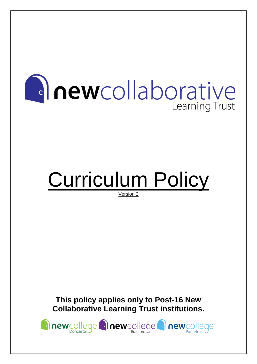# **Anewcollaborative** Learning Trust

# Curriculum Policy

Version 2

**This policy applies only to Post-16 New Collaborative Learning Trust institutions.**

newcollege newcollege **anewcollege**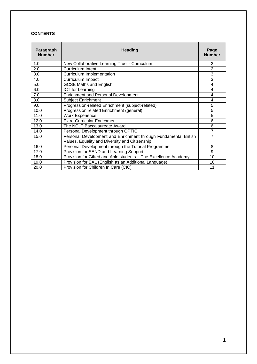#### **CONTENTS**

| Paragraph<br><b>Number</b> | <b>Heading</b>                                                  | Page<br><b>Number</b> |
|----------------------------|-----------------------------------------------------------------|-----------------------|
| 1.0                        | New Collaborative Learning Trust - Curriculum                   | 2                     |
| 2.0                        | <b>Curriculum Intent</b>                                        | $\overline{2}$        |
| 3.0                        | Curriculum Implementation                                       | 3                     |
| 4.0                        | Curriculum Impact                                               | 3                     |
| 5.0                        | <b>GCSE Maths and English</b>                                   | 4                     |
| 6.0                        | <b>ICT</b> for Learning                                         | 4                     |
| 7.0                        | <b>Enrichment and Personal Development</b>                      | 4                     |
| 8.0                        | <b>Subject Enrichment</b>                                       | 4                     |
| 9.0                        | Progression-related Enrichment (subject-related)                | 5                     |
| 10.0                       | Progression related Enrichment (general)                        | 5                     |
| 11.0                       | <b>Work Experience</b>                                          | 5                     |
| 12.0                       | <b>Extra-Curricular Enrichment</b>                              | 6                     |
| 13.0                       | The NCLT Baccalaureate Award                                    | 6                     |
| 14.0                       | Personal Development through OPTIC                              | 7                     |
| 15.0                       | Personal Development and Enrichment through Fundamental British | $\overline{7}$        |
|                            | Values, Equality and Diversity and Citizenship                  |                       |
| 16.0                       | Personal Development through the Tutorial Programme             | 8                     |
| 17.0                       | Provision for SEND and Learning Support                         | 9                     |
| 18.0                       | Provision for Gifted and Able students - The Excellence Academy | 10                    |
| 19.0                       | Provision for EAL (English as an Additional Language)           | 10                    |
| 20.0                       | Provision for Children In Care (CIC)                            | 11                    |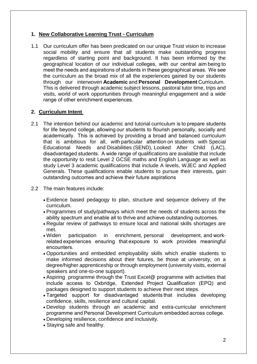# **1. New Collaborative Learning Trust - Curriculum**

1.1 Our curriculum offer has been predicated on our unique Trust vision to increase social mobility and ensure that all students make outstanding progress regardless of starting point and background. It has been informed by the geographical location of our individual colleges, with our central aim being to meet the needs and aspirations of students in these geographical areas.  We see the curriculum as the broad mix of all the experiences gained by our students through our interwoven**Academic** and **Personal Development** Curriculum.  This is delivered through academic subject lessons, pastoral tutor time, trips and visits, world of work opportunities through meaningful engagement and a wide range of other enrichment experiences. 

# **2. Curriculum Intent**

- 2.1 The intention behind our academic and tutorial curriculum is to prepare students for life beyond college, allowing our students to flourish personally, socially and academically.  This is achieved by providing a broad and balanced curriculum that is ambitious for all, with particular attention on students with Special Educational Needs and Disabilities (SEND), Looked After Child (LAC), disadvantaged students.  A wide range of qualifications are available that include the opportunity to resit Level 2 GCSE maths and English Language as well as study Level 3 academic qualifications that include A levels, WJEC and Applied Generals. These qualifications enable students to pursue their interests, gain outstanding outcomes and achieve their future aspirations
- 2.2 The main features include:
	- Evidence based pedagogy to plan, structure and sequence delivery of the curriculum.
	- Programmes of study/pathways which meet the needs of students across the ability spectrum and enable all to thrive and achieve outstanding outcomes.
	- Regular review of pathways to ensure local and national skills shortages are met.
	- Widen participation in enrichment, personal development, and workrelated experiences ensuring that exposure to work provides meaningful encounters.
	- Opportunities and embedded employability skills which enable students to make informed decisions about their futures, be those at university, on a degree/higher apprenticeship or through employment (university visits, external speakers and one-to-one support).
	- Aspiring programme through the Trust Excel@ programme with activities that include access to Oxbridge,  Extended Project Qualification (EPQ) and packages designed to support students to achieve their next steps.
	- Targeted support for disadvantaged students that includes developing confidence, skills, resilience and cultural capital.
	- Develop students through an academic and extra-curricular enrichment programme and Personal Development Curriculum embedded across college.
	- Developing resilience, confidence and inclusivity.
	- Staying safe and healthy.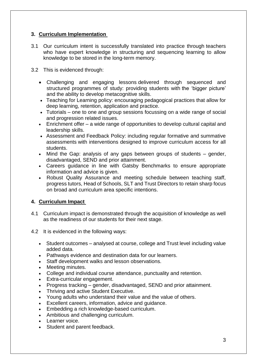# **3. Curriculum Implementation**

- 3.1 Our curriculum intent is successfully translated into practice through teachers who have expert knowledge in structuring and sequencing learning to allow knowledge to be stored in the long-term memory.
- 3.2 This is evidenced through:
	- Challenging and engaging lessons delivered through sequenced and structured programmes of study: providing students with the 'bigger picture' and the ability to develop metacognitive skills.
	- Teaching for Learning policy: encouraging pedagogical practices that allow for deep learning, retention, application and practice.
	- Tutorials one to one and group sessions focussing on a wide range of social and progression related issues.
	- Enrichment offer a wide range of opportunities to develop cultural capital and leadership skills.
	- Assessment and Feedback Policy: including regular formative and summative assessments with interventions designed to improve curriculum access for all students.
	- Mind the Gap: analysis of any gaps between groups of students gender, disadvantaged, SEND and prior attainment.
	- Careers guidance in line with Gatsby Benchmarks to ensure appropriate information and advice is given.
	- Robust Quality Assurance and meeting schedule between teaching staff, progress tutors, Head of Schools, SLT and Trust Directors to retain sharp focus on broad and curriculum area specific intentions.

# **4. Curriculum Impact**

- 4.1 Curriculum impact is demonstrated through the acquisition of knowledge as well as the readiness of our students for their next stage.
- 4.2 It is evidenced in the following ways:
	- Student outcomes analysed at course, college and Trust level including value added data.
	- Pathways evidence and destination data for our learners.
	- Staff development walks and lesson observations.
	- Meeting minutes.
	- College and individual course attendance, punctuality and retention.
	- Extra-curricular engagement.
	- Progress tracking gender, disadvantaged, SEND and prior attainment.
	- Thriving and active Student Executive.
	- Young adults who understand their value and the value of others.
	- Excellent careers, information, advice and guidance.
	- Embedding a rich knowledge-based curriculum.
	- Ambitious and challenging curriculum.
	- Learner voice.
	- Student and parent feedback.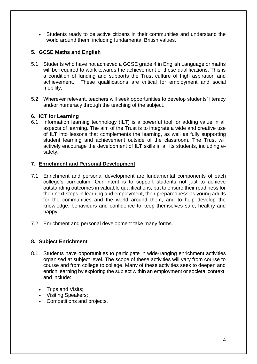• Students ready to be active citizens in their communities and understand the world around them, including fundamental British values.

# **5. GCSE Maths and English**

- 5.1 Students who have not achieved a GCSE grade 4 in English Language or maths will be required to work towards the achievement of these qualifications. This is a condition of funding and supports the Trust culture of high aspiration and achievement. These qualifications are critical for employment and social mobility.
- 5.2 Wherever relevant, teachers will seek opportunities to develop students' literacy and/or numeracy through the teaching of the subject.

#### **6. ICT for Learning**

6.1 Information learning technology (ILT) is a powerful tool for adding value in all aspects of learning. The aim of the Trust is to integrate a wide and creative use of ILT into lessons that complements the learning, as well as fully supporting student learning and achievement outside of the classroom. The Trust will actively encourage the development of ILT skills in all its students, including esafety.

#### **7. Enrichment and Personal Development**

- 7.1 Enrichment and personal development are fundamental components of each college's curriculum. Our intent is to support students not just to achieve outstanding outcomes in valuable qualifications, but to ensure their readiness for their next steps in learning and employment, their preparedness as young adults for the communities and the world around them, and to help develop the knowledge, behaviours and confidence to keep themselves safe, healthy and happy.
- 7.2 Enrichment and personal development take many forms.

# **8. Subject Enrichment**

- 8.1 Students have opportunities to participate in wide-ranging enrichment activities organised at subject level. The scope of these activities will vary from course to course and from college to college. Many of these activities seek to deepen and enrich learning by exploring the subject within an employment or societal context, and include:
	- Trips and Visits;
	- Visiting Speakers;
	- Competitions and projects.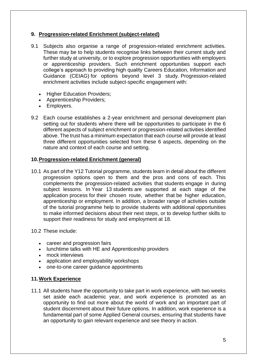# **9. Progression-related Enrichment (subject-related)**

- 9.1 Subjects also organise a range of progression-related enrichment activities. These may be to help students recognise links between their current study and further study at university, or to explore progression opportunities with employers or apprenticeship providers. Such enrichment opportunities support each college's approach to providing high quality Careers Education, Information and Guidance (CEIAG) for options beyond level 3 study. Progression-related enrichment activities include subject-specific engagement with:
	- Higher Education Providers;
	- Apprenticeship Providers;
	- Employers.
- 9.2 Each course establishes a 2-year enrichment and personal development plan setting out for students where there will be opportunities to participate in the 6 different aspects of subject enrichment or progression-related activities identified above. The trust has a minimum expectation that each course will provide at least three different opportunities selected from these 6 aspects, depending on the nature and context of each course and setting.

#### **10.Progression-related Enrichment (general)**

- 10.1 As part of the Y12 Tutorial programme, students learn in detail about the different progression options open to them and the pros and cons of each. This complements the progression-related activities that students engage in during subject lessons. In Year 13 students are supported at each stage of the application process for their chosen route, whether that be higher education, apprenticeship or employment. In addition, a broader range of activities outside of the tutorial programme help to provide students with additional opportunities to make informed decisions about their next steps, or to develop further skills to support their readiness for study and employment at 18.
- 10.2 These include:
	- career and progression fairs
	- lunchtime talks with HE and Apprenticeship providers
	- mock interviews
	- application and employability workshops
	- one-to-one career guidance appointments

#### **11.Work Experience**

11.1 All students have the opportunity to take part in work experience, with two weeks set aside each academic year, and work experience is promoted as an opportunity to find out more about the world of work and an important part of student discernment about their future options. In addition, work experience is a fundamental part of some Applied General courses, ensuring that students have an opportunity to gain relevant experience and see theory in action.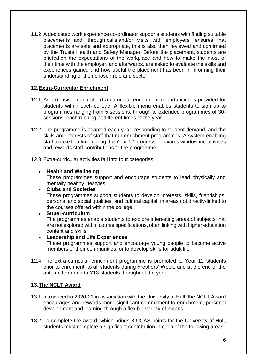11.2 A dedicated work experience co-ordinator supports students with finding suitable placements and, through calls and/or visits with employers, ensures that placements are safe and appropriate, this is also then reviewed and confirmed by the Trusts Health and Safety Manager. Before the placement, students are briefed on the expectations of the workplace and how to make the most of their time with the employer, and afterwards, are asked to evaluate the skills and experiences gained and how useful the placement has been in informing their understanding of their chosen role and sector.

# **12.Extra-Curricular Enrichment**

- 12.1 An extensive menu of extra-curricular enrichment opportunities is provided for students within each college. A flexible menu enables students to sign up to programmes ranging from 5 sessions, through to extended programmes of 30 sessions, each running at different times of the year.
- 12.2 The programme is adapted each year, responding to student demand, and the skills and interests of staff that run enrichment programmes. A system enabling staff to take lieu time during the Year 12 progression exams window incentivises and rewards staff contributions to the programme.
- 12.3 Extra-curricular activities fall into four categories:

#### • **Health and Wellbeing**

These programmes support and encourage students to lead physically and mentally healthy lifestyles

- **Clubs and Societies** These programmes support students to develop interests, skills, friendships, personal and social qualities, and cultural capital, in areas not directly-linked to the courses offered within the college
- **Super-curriculum**
	- The programmes enable students to explore interesting areas of subjects that are not explored within course specifications, often linking with higher education content and skills

#### • **Leadership and Life Experiences**

These programmes support and encourage young people to become active members of their communities, or to develop skills for adult life

12.4 The extra-curricular enrichment programme is promoted to Year 12 students prior to enrolment, to all students during Freshers' Week, and at the end of the autumn term and to Y13 students throughout the year.

# **13.The NCLT Award**

- 13.1 Introduced in 2020-21 in association with the University of Hull, the NCLT Award encourages and rewards more significant commitment to enrichment, personal development and learning through a flexible variety of means.
- 13.2 To complete the award, which brings 8 UCAS points for the University of Hull, students must complete a significant contribution in each of the following areas: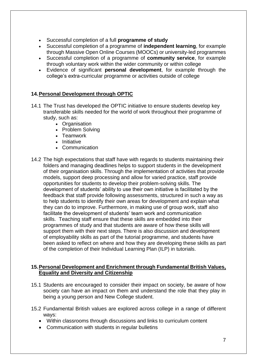- Successful completion of a full **programme of study**
- Successful completion of a programme of **independent learning**, for example through Massive Open Online Courses (MOOCs) or university-led programmes
- Successful completion of a programme of **community service**, for example through voluntary work within the wider community or within college
- Evidence of significant **personal development**, for example through the college's extra-curricular programme or activities outside of college

#### **14.Personal Development through OPTIC**

- 14.1 The Trust has developed the OPTIC initiative to ensure students develop key transferable skills needed for the world of work throughout their programme of study, such as:
	- Organisation
	- Problem Solving
	- Teamwork
	- Initiative
	- Communication
- 14.2 The high expectations that staff have with regards to students maintaining their folders and managing deadlines helps to support students in the development of their organisation skills. Through the implementation of activities that provide models, support deep processing and allow for varied practice, staff provide opportunities for students to develop their problem-solving skills. The development of students' ability to use their own initiative is facilitated by the feedback that staff provide following assessments, structured in such a way as to help students to identify their own areas for development and explain what they can do to improve. Furthermore, in making use of group work, staff also facilitate the development of students' team work and communication skills. Teaching staff ensure that these skills are embedded into their programmes of study and that students are aware of how these skills will support them with their next steps. There is also discussion and development of employability skills as part of the tutorial programme, and students have been asked to reflect on where and how they are developing these skills as part of the completion of their Individual Learning Plan (ILP) in tutorials.

#### **15.Personal Development and Enrichment through Fundamental British Values, Equality and Diversity and Citizenship**

- 15.1 Students are encouraged to consider their impact on society, be aware of how society can have an impact on them and understand the role that they play in being a young person and New College student.
- 15.2 Fundamental British values are explored across college in a range of different ways:
	- Within classrooms through discussions and links to curriculum content
	- Communication with students in regular bulletins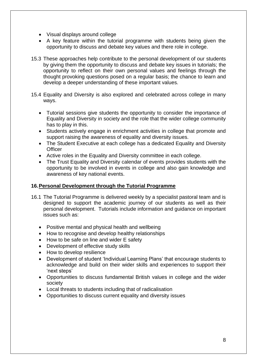- Visual displays around college
- A key feature within the tutorial programme with students being given the opportunity to discuss and debate key values and there role in college.
- 15.3 These approaches help contribute to the personal development of our students by giving them the opportunity to discuss and debate key issues in tutorials; the opportunity to reflect on their own personal values and feelings through the thought provoking questions posed on a regular basis; the chance to learn and develop a deeper understanding of these important values.
- 15.4 Equality and Diversity is also explored and celebrated across college in many ways.
	- Tutorial sessions give students the opportunity to consider the importance of Equality and Diversity in society and the role that the wider college community has to play in this.
	- Students actively engage in enrichment activities in college that promote and support raising the awareness of equality and diversity issues.
	- The Student Executive at each college has a dedicated Equality and Diversity **Officer**
	- Active roles in the Equality and Diversity committee in each college.
	- The Trust Equality and Diversity calendar of events provides students with the opportunity to be involved in events in college and also gain knowledge and awareness of key national events.

#### **16.Personal Development through the Tutorial Programme**

- 16.1 The Tutorial Programme is delivered weekly by a specialist pastoral team and is designed to support the academic journey of our students as well as their personal development. Tutorials include information and guidance on important issues such as:
	- Positive mental and physical health and wellbeing
	- How to recognise and develop healthy relationships
	- How to be safe on line and wider E safety
	- Development of effective study skills
	- How to develop resilience
	- Development of student 'Individual Learning Plans' that encourage students to acknowledge and build on their wider skills and experiences to support their 'next steps'
	- Opportunities to discuss fundamental British values in college and the wider society
	- Local threats to students including that of radicalisation
	- Opportunities to discuss current equality and diversity issues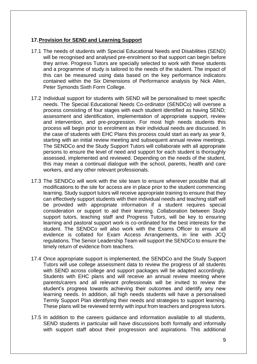#### **17.Provision for SEND and Learning Support**

- 17.1 The needs of students with Special Educational Needs and Disabilities (SEND) will be recognised and analysed pre-enrolment so that support can begin before they arrive. Progress Tutors are specially selected to work with these students and a programme of study is tailored to the needs of the student. The impact of this can be measured using data based on the key performance indicators contained within the Six Dimensions of Performance analysis by Nick Allen, Peter Symonds Sixth Form College.
- 17.2 Individual support for students with SEND will be personalised to meet specific needs. The Special Educational Needs Co-ordinator (SENDCo) will oversee a process consisting of four stages with each student identified as having SEND; assessment and identification, implementation of appropriate support, review and intervention, and pre-progression. For most high needs students this process will begin prior to enrolment as their individual needs are discussed. In the case of students with EHC Plans this process could start as early as year 9, starting with an initial review meeting and subsequent annual review meetings. The SENDCo and the Study Support Tutors will collaborate with all appropriate persons to ensure the level of need and support for each student is thoroughly assessed, implemented and reviewed. Depending on the needs of the student, this may mean a continual dialogue with the school, parents, health and care workers, and any other relevant professionals.
- 17.3 The SENDCo will work with the site team to ensure wherever possible that all modifications to the site for access are in place prior to the student commencing learning. Study support tutors will receive appropriate training to ensure that they can effectively support students with their individual needs and teaching staff will be provided with appropriate information if a student requires special consideration or support to aid their learning. Collaboration between Study support tutors, teaching staff and Progress Tutors, will be key to ensuring learning and pastoral support work is co-ordinated for the best interests for the student. The SENDCo will also work with the Exams Officer to ensure all evidence is collated for Exam Access Arrangements, in line with JCQ regulations. The Senior Leadership Team will support the SENDCo to ensure the timely return of evidence from teachers.
- 17.4 Once appropriate support is implemented, the SENDCo and the Study Support Tutors will use college assessment data to review the progress of all students with SEND across college and support packages will be adapted accordingly. Students with EHC plans and will receive an annual review meeting where parents/carers and all relevant professionals will be invited to review the student's progress towards achieving their outcomes and identify any new learning needs. In addition, all high needs students will have a personalised Termly Support Plan identifying their needs and strategies to support learning. These plans will be reviewed termly with input from teachers and progress tutors.
- 17.5 In addition to the careers guidance and information available to all students, SEND students in particular will have discussions both formally and informally with support staff about their progression and aspirations. This additional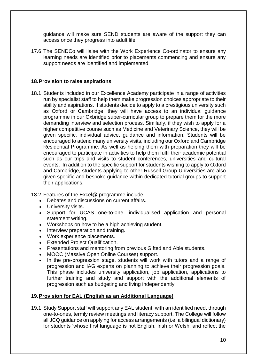guidance will make sure SEND students are aware of the support they can access once they progress into adult life.

17.6 The SENDCo will liaise with the Work Experience Co-ordinator to ensure any learning needs are identified prior to placements commencing and ensure any support needs are identified and implemented.

# **18.Provision to raise aspirations**

18.1 Students included in our Excellence Academy participate in a range of activities run by specialist staff to help them make progression choices appropriate to their ability and aspirations. If students decide to apply to a prestigious university such as Oxford or Cambridge, they will have access to an individual guidance programme in our Oxbridge super-curricular group to prepare them for the more demanding interview and selection process. Similarly, if they wish to apply for a higher competitive course such as Medicine and Veterinary Science, they will be given specific, individual advice, guidance and information. Students will be encouraged to attend many university visits, including our Oxford and Cambridge Residential Programme. As well as helping them with preparation they will be encouraged to participate in activities to help them fulfil their academic potential such as our trips and visits to student conferences, universities and cultural events. In addition to the specific support for students wishing to apply to Oxford and Cambridge, students applying to other Russell Group Universities are also given specific and bespoke guidance within dedicated tutorial groups to support their applications.

18.2 Features of the Excel@ programme include:

- Debates and discussions on current affairs.
- University visits.
- Support for UCAS one-to-one, individualised application and personal statement writing.
- Workshops on how to be a high achieving student.
- Interview preparation and training.
- Work experience placements.
- Extended Project Qualification.
- Presentations and mentoring from previous Gifted and Able students.
- MOOC (Massive Open Online Courses) support.
- In the pre-progression stage, students will work with tutors and a range of progression and IAG experts on planning to achieve their progression goals. This phase includes university application, job application, applications to further training and study and support with the additional elements of progression such as budgeting and living independently.

# **19.Provision for EAL (English as an Additional Language)**

19.1 Study Support staff will support any EAL student, with an identified need, through one-to-ones, termly review meetings and literacy support. The College will follow all JCQ guidance on applying for access arrangements (i.e. a bilingual dictionary) for students 'whose first language is not English, Irish or Welsh; and reflect the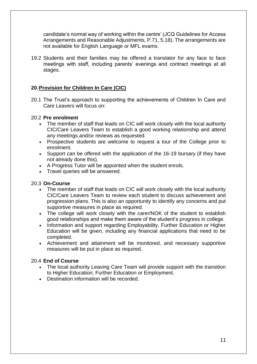candidate's normal way of working within the centre' (JCQ Guidelines for Access Arrangements and Reasonable Adjustments, P.71, 5.18). The arrangements are not available for English Language or MFL exams.

19.2 Students and their families may be offered a translator for any face to face meetings with staff, including parents' evenings and contract meetings at all stages.

#### **20.Provision for Children In Care (CIC)**

20.1 The Trust's approach to supporting the achievements of Children In Care and Care Leavers will focus on:

#### 20.2 **Pre enrolment**

- The member of staff that leads on CIC will work closely with the local authority CIC/Care Leavers Team to establish a good working relationship and attend any meetings and/or reviews as requested.
- Prospective students are welcome to request a tour of the College prior to enrolment.
- Support can be offered with the application of the 16-19 bursary (if they have not already done this).
- A Progress Tutor will be appointed when the student enrols.
- Travel queries will be answered.

#### 20.3 **On-Course**

- The member of staff that leads on CIC will work closely with the local authority CIC/Care Leavers Team to review each student to discuss achievement and progression plans. This is also an opportunity to identify any concerns and put supportive measures in place as required.
- The college will work closely with the carer/NOK of the student to establish good relationships and make them aware of the student's progress in college.
- Information and support regarding Employability, Further Education or Higher Education will be given, including any financial applications that need to be completed.
- Achievement and attainment will be monitored, and necessary supportive measures will be put in place as required.

#### 20.4 **End of Course**

- The local authority Leaving Care Team will provide support with the transition to Higher Education, Further Education or Employment.
- Destination information will be recorded.